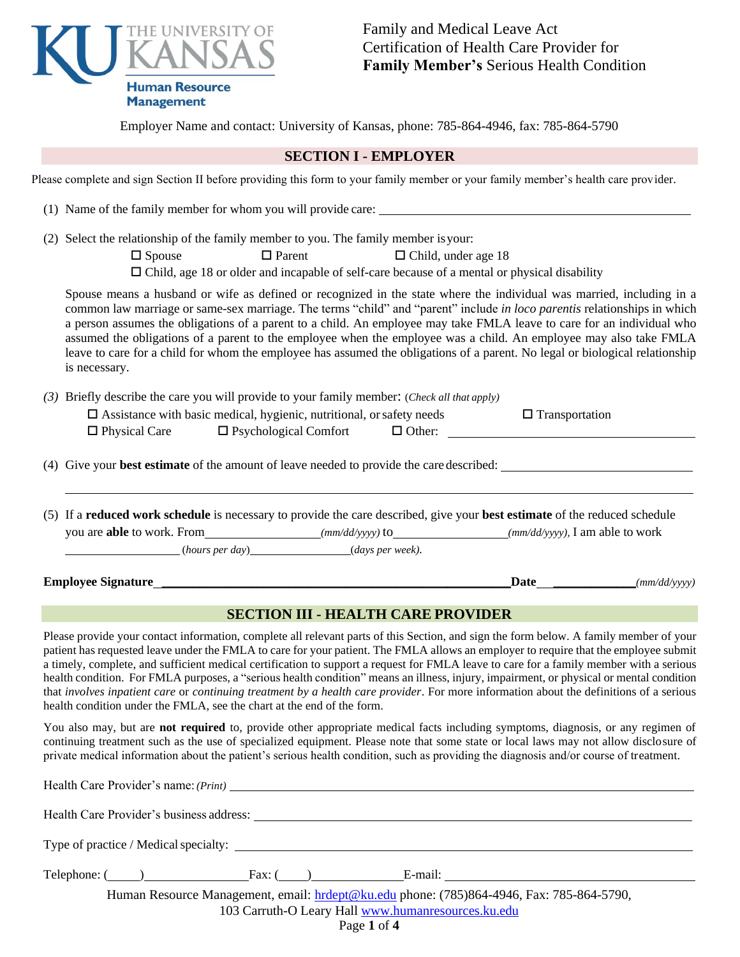

Family and Medical Leave Act Certification of Health Care Provider for **Family Member's** Serious Health Condition

Employer Name and contact: University of Kansas, phone: 785-864-4946, fax: 785-864-5790

# **SECTION I - EMPLOYER**

Please complete and sign Section II before providing this form to your family member or your family member's health care provider.

|  |  |  | (1) Name of the family member for whom you will provide care: |
|--|--|--|---------------------------------------------------------------|
|  |  |  |                                                               |

(2) Select the relationship of the family member to you. The family member isyour:

 $\Box$  Spouse  $\Box$  Parent  $\Box$  Child, under age 18

 $\Box$  Child, age 18 or older and incapable of self-care because of a mental or physical disability

Spouse means a husband or wife as defined or recognized in the state where the individual was married, including in a common law marriage or same-sex marriage. The terms "child" and "parent" include *in loco parentis* relationships in which a person assumes the obligations of a parent to a child. An employee may take FMLA leave to care for an individual who assumed the obligations of a parent to the employee when the employee was a child. An employee may also take FMLA leave to care for a child for whom the employee has assumed the obligations of a parent. No legal or biological relationship is necessary.

*(3)* Briefly describe the care you will provide to your family member: (*Check all that apply)*

|                      | $\square$ Assistance with basic medical, hygienic, nutritional, or safety needs |               | $\Box$ Transportation |
|----------------------|---------------------------------------------------------------------------------|---------------|-----------------------|
| $\Box$ Physical Care | $\Box$ Psychological Comfort                                                    | $\Box$ Other: |                       |
|                      |                                                                                 |               |                       |

(4) Give your **best estimate** of the amount of leave needed to provide the care described:

(5) If a **reduced work schedule** is necessary to provide the care described, give your **best estimate** of the reduced schedule you are **able** to work. From *(mm/dd/yyyy)* to *(mm/dd/yyyy),* I am able to work (*hours per day*) (*days per week).*

**Employee Signature \_\_\_\_\_\_\_\_\_\_\_\_\_\_\_\_\_\_\_\_\_\_\_\_\_\_\_\_\_\_\_\_\_\_\_\_\_\_\_\_\_\_\_\_\_\_\_\_\_\_\_\_\_\_\_Date \_\_\_\_\_\_\_\_\_\_\_\_\_***(mm/dd/yyyy)*

## **SECTION III - HEALTH CARE PROVIDER**

Please provide your contact information, complete all relevant parts of this Section, and sign the form below. A family member of your patient has requested leave under the FMLA to care for your patient. The FMLA allows an employer to require that the employee submit a timely, complete, and sufficient medical certification to support a request for FMLA leave to care for a family member with a serious health condition. For FMLA purposes, a "serious health condition" means an illness, injury, impairment, or physical or mental condition that *involves inpatient care* or *continuing treatment by a health care provider*. For more information about the definitions of a serious health condition under the FMLA, see the chart at the end of the form.

You also may, but are **not required** to, provide other appropriate medical facts including symptoms, diagnosis, or any regimen of continuing treatment such as the use of specialized equipment. Please note that some state or local laws may not allow disclosure of private medical information about the patient's serious health condition, such as providing the diagnosis and/or course of treatment.

Human Resource Management, email: [hrdept@ku.edu](mailto:hrdept@ku.edu) phone: (785)864-4946, Fax: 785-864-5790, 103 Carruth-O Leary Hall [www.humanresources.ku.edu](http://www.humanresources.ku.edu/) Health Care Provider's name: *(Print)* Health Care Provider's business address: Type of practice / Medical specialty: Telephone: ( ) Fax: ( ) E-mail:

Page **1** of **4**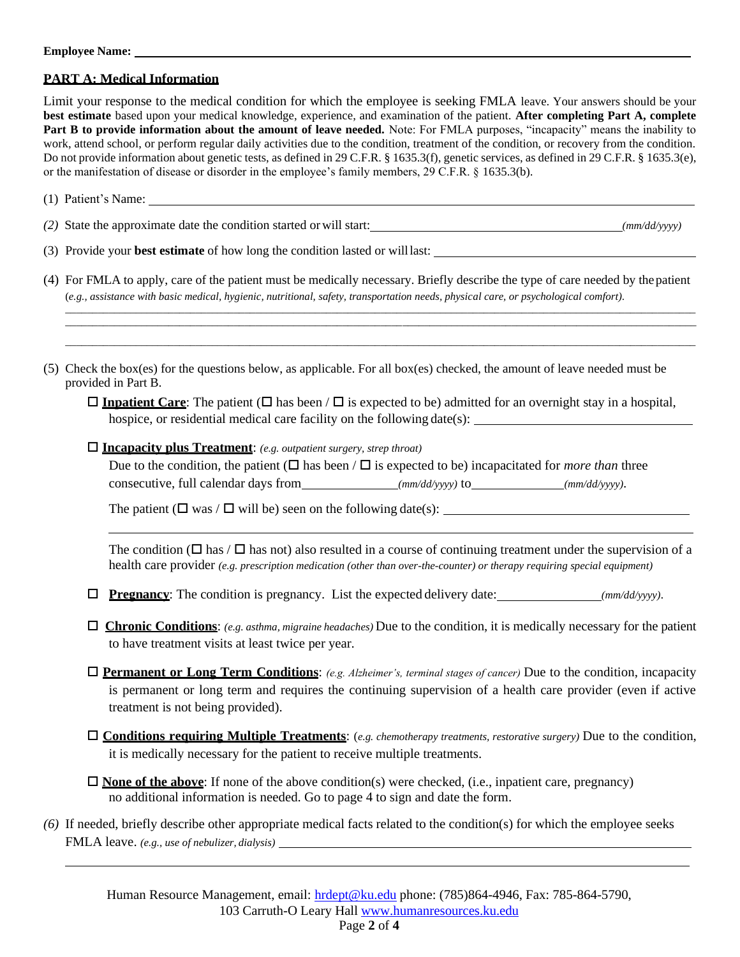#### **Employee Name:**

## **PART A: Medical Information**

Limit your response to the medical condition for which the employee is seeking FMLA leave. Your answers should be your **best estimate** based upon your medical knowledge, experience, and examination of the patient. **After completing Part A, complete Part B to provide information about the amount of leave needed.** Note: For FMLA purposes, "incapacity" means the inability to work, attend school, or perform regular daily activities due to the condition, treatment of the condition, or recovery from the condition. Do not provide information about genetic tests, as defined in 29 C.F.R. § 1635.3(f), genetic services, as defined in 29 C.F.R. § 1635.3(e), or the manifestation of disease or disorder in the employee's family members, 29 C.F.R. § 1635.3(b).

(1) Patient's Name:

*(2)* State the approximate date the condition started or will start: *(mm/dd/yyyy)*

(3) Provide your **best estimate** of how long the condition lasted or willlast:

(4) For FMLA to apply, care of the patient must be medically necessary. Briefly describe the type of care needed by the patient (*e.g., assistance with basic medical, hygienic, nutritional, safety, transportation needs, physical care, or psychological comfort)*.

\_\_\_\_\_\_\_\_\_\_\_\_\_\_\_\_\_\_\_\_\_\_\_\_\_\_\_\_\_\_\_\_\_\_\_\_\_\_\_\_\_\_\_\_\_\_\_\_\_\_\_\_\_\_\_\_\_\_\_\_\_\_\_\_\_\_\_\_\_\_\_\_\_\_\_\_\_\_\_\_\_\_\_\_\_\_\_\_\_\_\_\_\_\_\_\_\_\_\_\_\_\_\_\_\_\_\_\_\_\_\_\_\_\_\_\_ \_\_\_\_\_\_\_\_\_\_\_\_\_\_\_\_\_\_\_\_\_\_\_\_\_\_\_\_\_\_\_\_\_\_\_\_\_\_\_\_\_\_\_\_\_\_\_\_\_\_\_\_\_\_\_\_\_\_\_\_\_\_\_\_\_\_\_\_\_\_\_\_\_\_\_\_\_\_\_\_\_\_\_\_\_\_\_\_\_\_\_\_\_\_\_\_\_\_\_\_\_\_\_\_\_\_\_\_\_\_\_\_\_\_\_\_ \_\_\_\_\_\_\_\_\_\_\_\_\_\_\_\_\_\_\_\_\_\_\_\_\_\_\_\_\_\_\_\_\_\_\_\_\_\_\_\_\_\_\_\_\_\_\_\_\_\_\_\_\_\_\_\_\_\_\_\_\_\_\_\_\_\_\_\_\_\_\_\_\_\_\_\_\_\_\_\_\_\_\_\_\_\_\_\_\_\_\_\_\_\_\_\_\_\_\_\_\_\_\_\_\_\_\_\_\_\_\_\_\_\_\_\_

(5) Check the box(es) for the questions below, as applicable. For all box(es) checked, the amount of leave needed must be provided in Part B.

**Incapacity plus Treatment**: *(e.g. outpatient surgery, strep throat)*

Due to the condition, the patient ( $\Box$  has been / $\Box$  is expected to be) incapacitated for *more than* three consecutive, full calendar days from *(mm/dd/yyyy)* to *(mm/dd/yyyy)*.

The patient ( $\square$  was / $\square$  will be) seen on the following date(s):

The condition ( $\Box$  has /  $\Box$  has not) also resulted in a course of continuing treatment under the supervision of a health care provider *(e.g. prescription medication (other than over-the-counter) or therapy requiring special equipment)*

- **Pregnancy**: The condition is pregnancy. List the expected delivery date: *(mm/dd/yyyy)*.
- **Chronic Conditions**: *(e.g. asthma, migraine headaches)* Due to the condition, it is medically necessary for the patient to have treatment visits at least twice per year.
- **Permanent or Long Term Conditions**: *(e.g. Alzheimer's, terminal stages of cancer)* Due to the condition, incapacity is permanent or long term and requires the continuing supervision of a health care provider (even if active treatment is not being provided).
- **Conditions requiring Multiple Treatments**: (*e.g. chemotherapy treatments, restorative surgery)* Due to the condition, it is medically necessary for the patient to receive multiple treatments.
- **None of the above**: If none of the above condition(s) were checked, (i.e., inpatient care, pregnancy) no additional information is needed. Go to page 4 to sign and date the form.
- *(6)* If needed, briefly describe other appropriate medical facts related to the condition(s) for which the employee seeks FMLA leave. *(e.g., use of nebulizer, dialysis)*

**Inpatient Care**: The patient ( $\Box$  has been /  $\Box$  is expected to be) admitted for an overnight stay in a hospital, hospice, or residential medical care facility on the following date(s):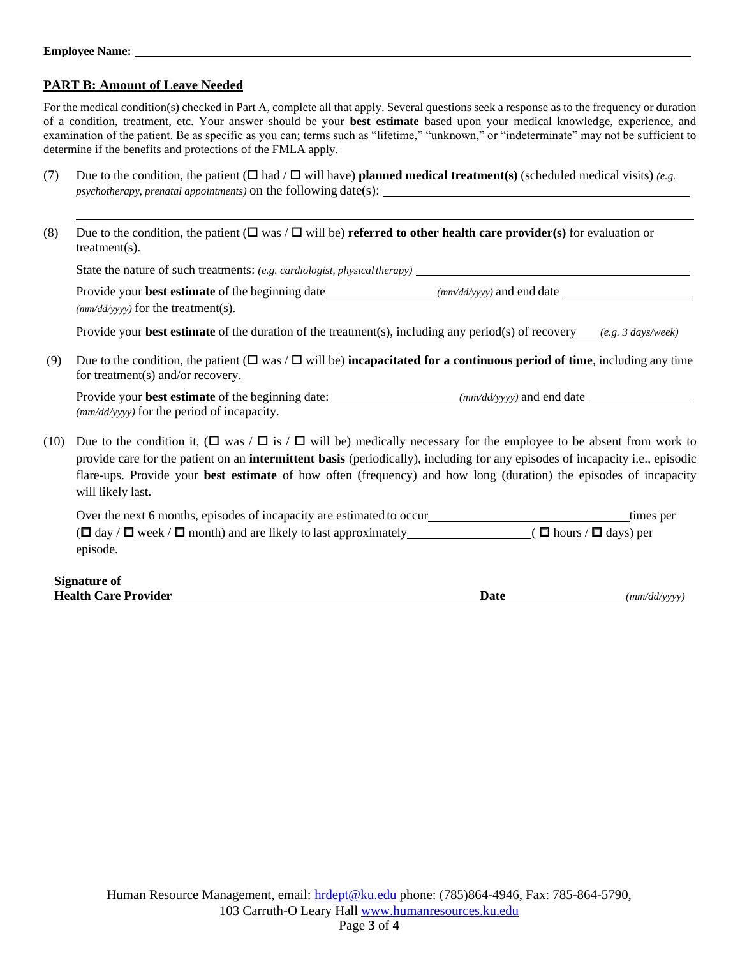#### **Employee Name:**

## **PART B: Amount of Leave Needed**

For the medical condition(s) checked in Part A, complete all that apply. Several questions seek a response as to the frequency or duration of a condition, treatment, etc. Your answer should be your **best estimate** based upon your medical knowledge, experience, and examination of the patient. Be as specific as you can; terms such as "lifetime," "unknown," or "indeterminate" may not be sufficient to determine if the benefits and protections of the FMLA apply.

- (7) Due to the condition, the patient  $(\Box \text{ had } / \Box \text{ will have})$  **planned medical treatment(s)** (scheduled medical visits) *(e.g. psychotherapy, prenatal appointments)* on the following date(s):
- (8) Due to the condition, the patient ( $\Box$  was /  $\Box$  will be) **referred to other health care provider(s)** for evaluation or treatment(s). State the nature of such treatments: *(e.g. cardiologist, physicaltherapy)* Provide your **best estimate** of the beginning date *(mm/dd/yyyy)* and end date *(mm/dd/yyyy)* for the treatment(s). Provide your **best estimate** of the duration of the treatment(s), including any period(s) of recovery *(e.g. 3 days/week)* (9) Due to the condition, the patient  $(\Box \text{ was } / \Box \text{ will be})$  **incapacitated for a continuous period of time**, including any time for treatment(s) and/or recovery. Provide your **best estimate** of the beginning date: *(mm/dd/yyyy)* and end date *(mm/dd/yyyy)* for the period of incapacity.
- (10) Due to the condition it,  $(\Box \text{ was } / \Box \text{ is } / \Box \text{ will be})$  medically necessary for the employee to be absent from work to provide care for the patient on an **intermittent basis** (periodically), including for any episodes of incapacity i.e., episodic flare-ups. Provide your **best estimate** of how often (frequency) and how long (duration) the episodes of incapacity will likely last.

 ( day / week / month) and are likely to last approximately ( hours / days) per Over the next 6 months, episodes of incapacity are estimated to occur times per episode*.*

| <b>Signature of</b>         |      |              |
|-----------------------------|------|--------------|
| <b>Health Care Provider</b> | Date | (mm/dd/vvvv) |